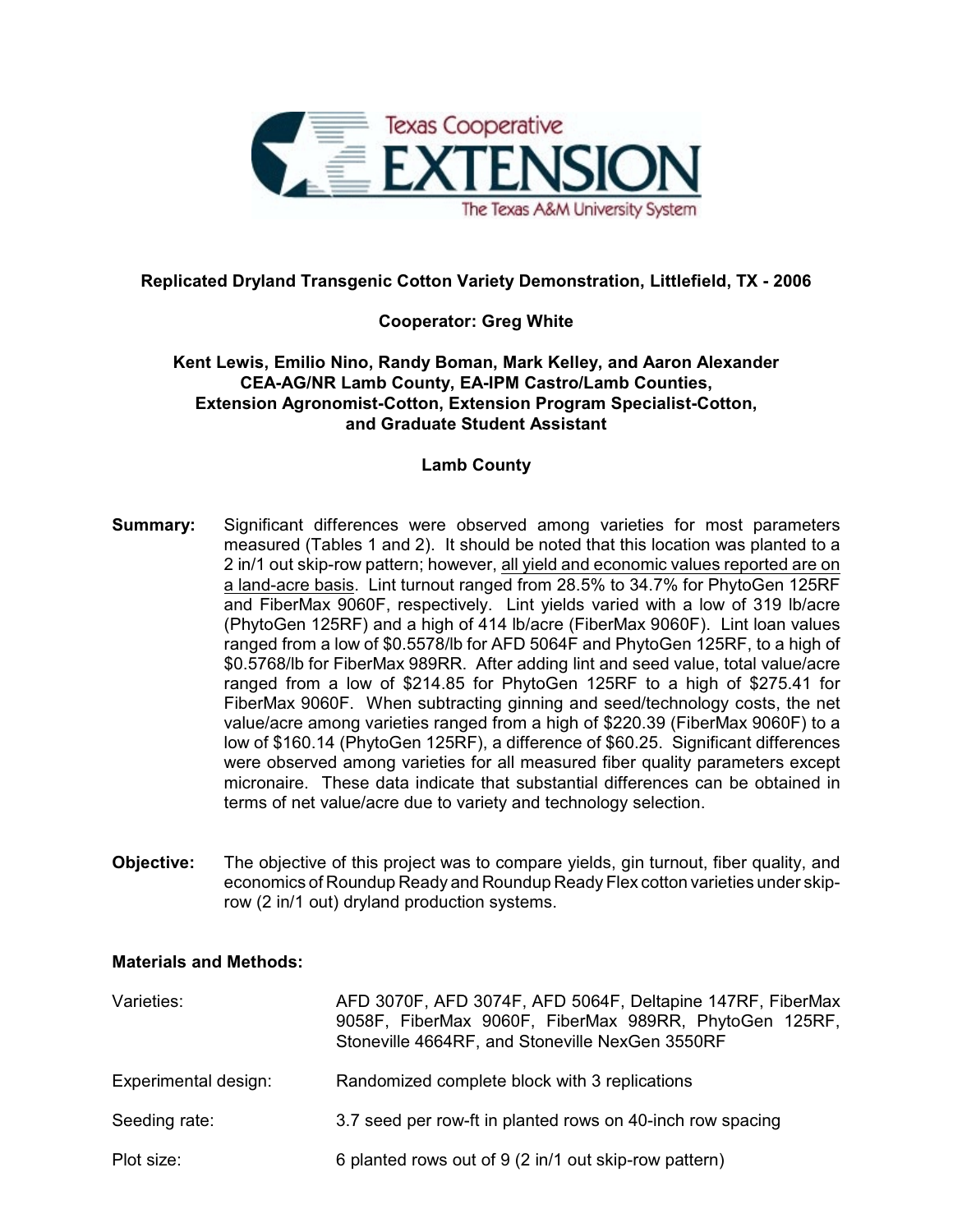

# **Replicated Dryland Transgenic Cotton Variety Demonstration, Littlefield, TX - 2006**

## **Cooperator: Greg White**

### **Kent Lewis, Emilio Nino, Randy Boman, Mark Kelley, and Aaron Alexander CEA-AG/NR Lamb County, EA-IPM Castro/Lamb Counties, Extension Agronomist-Cotton, Extension Program Specialist-Cotton, and Graduate Student Assistant**

### **Lamb County**

- **Summary:** Significant differences were observed among varieties for most parameters measured (Tables 1 and 2). It should be noted that this location was planted to a 2 in/1 out skip-row pattern; however, all yield and economic values reported are on a land-acre basis. Lint turnout ranged from 28.5% to 34.7% for PhytoGen 125RF and FiberMax 9060F, respectively. Lint yields varied with a low of 319 lb/acre (PhytoGen 125RF) and a high of 414 lb/acre (FiberMax 9060F). Lint loan values ranged from a low of \$0.5578/lb for AFD 5064F and PhytoGen 125RF, to a high of \$0.5768/lb for FiberMax 989RR. After adding lint and seed value, total value/acre ranged from a low of \$214.85 for PhytoGen 125RF to a high of \$275.41 for FiberMax 9060F. When subtracting ginning and seed/technology costs, the net value/acre among varieties ranged from a high of \$220.39 (FiberMax 9060F) to a low of \$160.14 (PhytoGen 125RF), a difference of \$60.25. Significant differences were observed among varieties for all measured fiber quality parameters except micronaire. These data indicate that substantial differences can be obtained in terms of net value/acre due to variety and technology selection.
- **Objective:** The objective of this project was to compare yields, gin turnout, fiber quality, and economics of Roundup Ready and Roundup Ready Flex cotton varieties under skiprow (2 in/1 out) dryland production systems.

### **Materials and Methods:**

| Varieties:           | AFD 3070F, AFD 3074F, AFD 5064F, Deltapine 147RF, FiberMax<br>9058F, FiberMax 9060F, FiberMax 989RR, PhytoGen 125RF,<br>Stoneville 4664RF, and Stoneville NexGen 3550RF |
|----------------------|-------------------------------------------------------------------------------------------------------------------------------------------------------------------------|
| Experimental design: | Randomized complete block with 3 replications                                                                                                                           |
| Seeding rate:        | 3.7 seed per row-ft in planted rows on 40-inch row spacing                                                                                                              |
| Plot size:           | 6 planted rows out of 9 (2 in/1 out skip-row pattern)                                                                                                                   |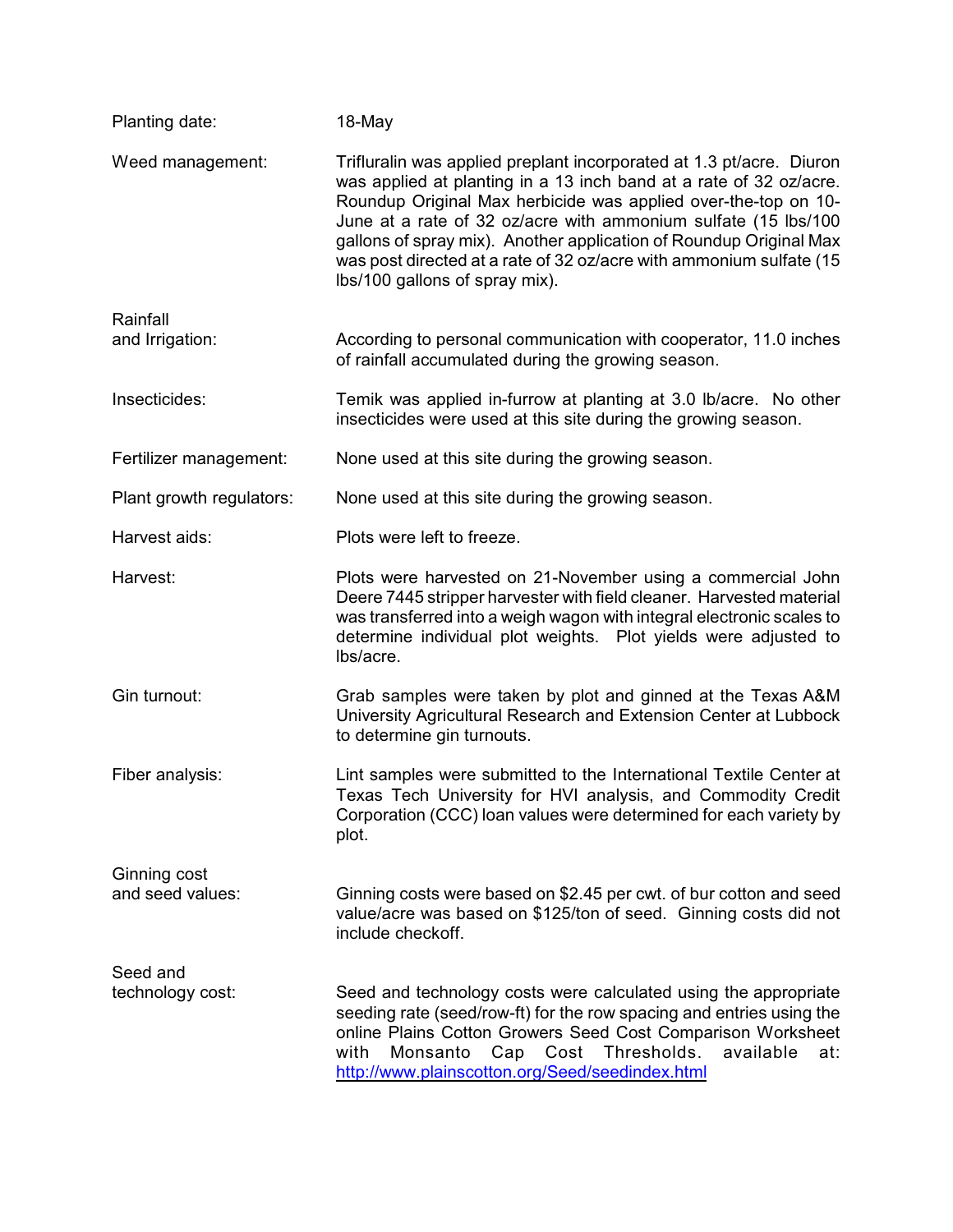| Planting date:           | 18-May                                                                                                                                                                                                                                                                                                                                                                                                                                                        |
|--------------------------|---------------------------------------------------------------------------------------------------------------------------------------------------------------------------------------------------------------------------------------------------------------------------------------------------------------------------------------------------------------------------------------------------------------------------------------------------------------|
| Weed management:         | Trifluralin was applied preplant incorporated at 1.3 pt/acre. Diuron<br>was applied at planting in a 13 inch band at a rate of 32 oz/acre.<br>Roundup Original Max herbicide was applied over-the-top on 10-<br>June at a rate of 32 oz/acre with ammonium sulfate (15 lbs/100<br>gallons of spray mix). Another application of Roundup Original Max<br>was post directed at a rate of 32 oz/acre with ammonium sulfate (15<br>lbs/100 gallons of spray mix). |
| Rainfall                 |                                                                                                                                                                                                                                                                                                                                                                                                                                                               |
| and Irrigation:          | According to personal communication with cooperator, 11.0 inches<br>of rainfall accumulated during the growing season.                                                                                                                                                                                                                                                                                                                                        |
| Insecticides:            | Temik was applied in-furrow at planting at 3.0 lb/acre. No other<br>insecticides were used at this site during the growing season.                                                                                                                                                                                                                                                                                                                            |
| Fertilizer management:   | None used at this site during the growing season.                                                                                                                                                                                                                                                                                                                                                                                                             |
| Plant growth regulators: | None used at this site during the growing season.                                                                                                                                                                                                                                                                                                                                                                                                             |
| Harvest aids:            | Plots were left to freeze.                                                                                                                                                                                                                                                                                                                                                                                                                                    |
| Harvest:                 | Plots were harvested on 21-November using a commercial John<br>Deere 7445 stripper harvester with field cleaner. Harvested material<br>was transferred into a weigh wagon with integral electronic scales to<br>determine individual plot weights. Plot yields were adjusted to<br>lbs/acre.                                                                                                                                                                  |
| Gin turnout:             | Grab samples were taken by plot and ginned at the Texas A&M<br>University Agricultural Research and Extension Center at Lubbock<br>to determine gin turnouts.                                                                                                                                                                                                                                                                                                 |
| Fiber analysis:          | Lint samples were submitted to the International Textile Center at<br>Texas Tech University for HVI analysis, and Commodity Credit<br>Corporation (CCC) loan values were determined for each variety by<br>plot.                                                                                                                                                                                                                                              |
| Ginning cost             |                                                                                                                                                                                                                                                                                                                                                                                                                                                               |
| and seed values:         | Ginning costs were based on \$2.45 per cwt. of bur cotton and seed<br>value/acre was based on \$125/ton of seed. Ginning costs did not<br>include checkoff.                                                                                                                                                                                                                                                                                                   |
| Seed and                 |                                                                                                                                                                                                                                                                                                                                                                                                                                                               |
| technology cost:         | Seed and technology costs were calculated using the appropriate<br>seeding rate (seed/row-ft) for the row spacing and entries using the<br>online Plains Cotton Growers Seed Cost Comparison Worksheet<br>Cost<br>Thresholds.<br>with<br>Monsanto<br>Cap<br>available<br>at:<br>http://www.plainscotton.org/Seed/seedindex.html                                                                                                                               |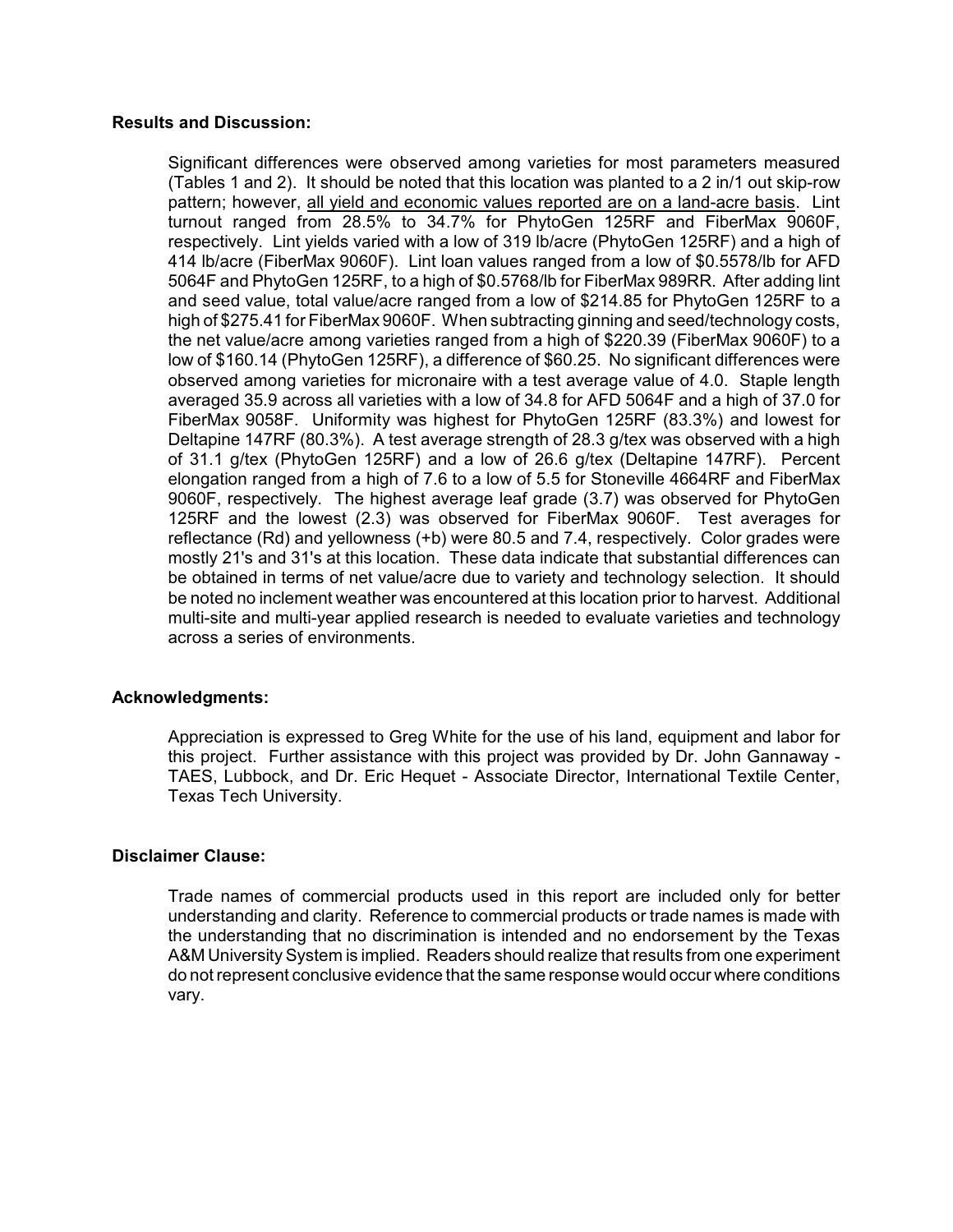#### **Results and Discussion:**

Significant differences were observed among varieties for most parameters measured (Tables 1 and 2). It should be noted that this location was planted to a 2 in/1 out skip-row pattern; however, all yield and economic values reported are on a land-acre basis. Lint turnout ranged from 28.5% to 34.7% for PhytoGen 125RF and FiberMax 9060F, respectively. Lint yields varied with a low of 319 lb/acre (PhytoGen 125RF) and a high of 414 lb/acre (FiberMax 9060F). Lint loan values ranged from a low of \$0.5578/lb for AFD 5064F and PhytoGen 125RF, to a high of \$0.5768/lb for FiberMax 989RR. After adding lint and seed value, total value/acre ranged from a low of \$214.85 for PhytoGen 125RF to a high of \$275.41 for FiberMax 9060F. When subtracting ginning and seed/technology costs, the net value/acre among varieties ranged from a high of \$220.39 (FiberMax 9060F) to a low of \$160.14 (PhytoGen 125RF), a difference of \$60.25. No significant differences were observed among varieties for micronaire with a test average value of 4.0. Staple length averaged 35.9 across all varieties with a low of 34.8 for AFD 5064F and a high of 37.0 for FiberMax 9058F. Uniformity was highest for PhytoGen 125RF (83.3%) and lowest for Deltapine 147RF (80.3%). A test average strength of 28.3 g/tex was observed with a high of 31.1 g/tex (PhytoGen 125RF) and a low of 26.6 g/tex (Deltapine 147RF). Percent elongation ranged from a high of 7.6 to a low of 5.5 for Stoneville 4664RF and FiberMax 9060F, respectively. The highest average leaf grade (3.7) was observed for PhytoGen 125RF and the lowest (2.3) was observed for FiberMax 9060F. Test averages for reflectance (Rd) and yellowness (+b) were 80.5 and 7.4, respectively. Color grades were mostly 21's and 31's at this location. These data indicate that substantial differences can be obtained in terms of net value/acre due to variety and technology selection. It should be noted no inclement weather was encountered at this location prior to harvest. Additional multi-site and multi-year applied research is needed to evaluate varieties and technology across a series of environments.

### **Acknowledgments:**

Appreciation is expressed to Greg White for the use of his land, equipment and labor for this project. Further assistance with this project was provided by Dr. John Gannaway - TAES, Lubbock, and Dr. Eric Hequet - Associate Director, International Textile Center, Texas Tech University.

### **Disclaimer Clause:**

Trade names of commercial products used in this report are included only for better understanding and clarity. Reference to commercial products or trade names is made with the understanding that no discrimination is intended and no endorsement by the Texas A&M University System is implied. Readers should realize that results from one experiment do not represent conclusive evidence that the same response would occur where conditions vary.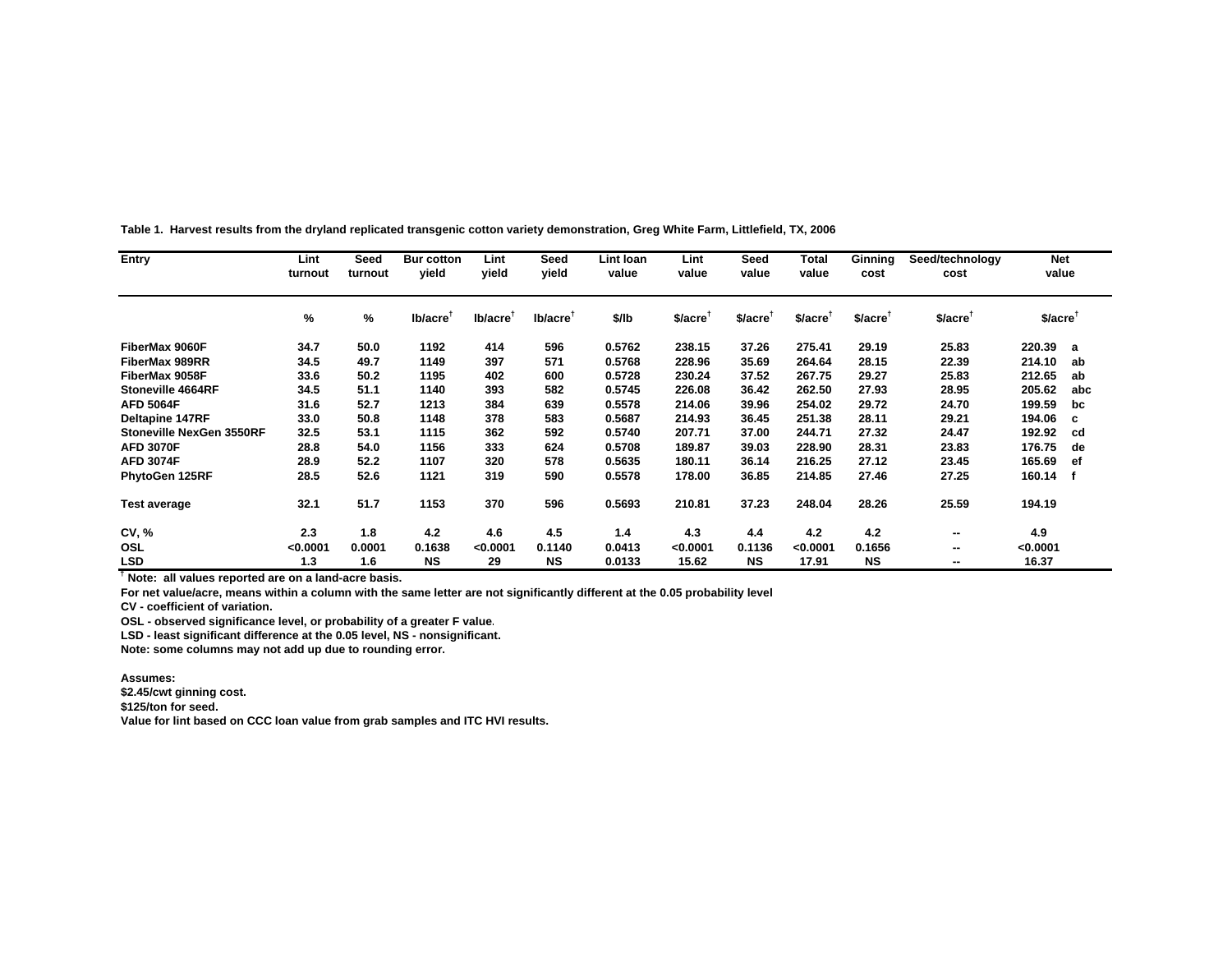| Entry                           | Lint<br>turnout | Seed<br>turnout | <b>Bur cotton</b><br>vield | Lint<br>vield        | Seed<br>vield        | Lint Ioan<br>value | Lint<br>value        | Seed<br>value        | Total<br>value       | Ginning<br>cost       | Seed/technology<br>cost | <b>Net</b><br>value  |     |
|---------------------------------|-----------------|-----------------|----------------------------|----------------------|----------------------|--------------------|----------------------|----------------------|----------------------|-----------------------|-------------------------|----------------------|-----|
|                                 | %               | %               | lb/acre <sup>T</sup>       | Ib/acre <sup>T</sup> | lb/acre <sup>1</sup> | \$/lb              | \$/acre <sup>1</sup> | \$/acre <sup>T</sup> | \$/acre <sup>1</sup> | $$/acre$ <sup>1</sup> | $$/acre$ <sup>1</sup>   | \$/acre <sup>T</sup> |     |
| FiberMax 9060F                  | 34.7            | 50.0            | 1192                       | 414                  | 596                  | 0.5762             | 238.15               | 37.26                | 275.41               | 29.19                 | 25.83                   | 220.39               | a   |
| FiberMax 989RR                  | 34.5            | 49.7            | 1149                       | 397                  | 571                  | 0.5768             | 228.96               | 35.69                | 264.64               | 28.15                 | 22.39                   | 214.10               | ab  |
| FiberMax 9058F                  | 33.6            | 50.2            | 1195                       | 402                  | 600                  | 0.5728             | 230.24               | 37.52                | 267.75               | 29.27                 | 25.83                   | 212.65               | ab  |
| Stoneville 4664RF               | 34.5            | 51.1            | 1140                       | 393                  | 582                  | 0.5745             | 226.08               | 36.42                | 262.50               | 27.93                 | 28.95                   | 205.62               | abc |
| <b>AFD 5064F</b>                | 31.6            | 52.7            | 1213                       | 384                  | 639                  | 0.5578             | 214.06               | 39.96                | 254.02               | 29.72                 | 24.70                   | 199.59               | bc  |
| Deltapine 147RF                 | 33.0            | 50.8            | 1148                       | 378                  | 583                  | 0.5687             | 214.93               | 36.45                | 251.38               | 28.11                 | 29.21                   | 194.06               | c   |
| <b>Stoneville NexGen 3550RF</b> | 32.5            | 53.1            | 1115                       | 362                  | 592                  | 0.5740             | 207.71               | 37.00                | 244.71               | 27.32                 | 24.47                   | 192.92               | cd  |
| <b>AFD 3070F</b>                | 28.8            | 54.0            | 1156                       | 333                  | 624                  | 0.5708             | 189.87               | 39.03                | 228.90               | 28.31                 | 23.83                   | 176.75               | de  |
| <b>AFD 3074F</b>                | 28.9            | 52.2            | 1107                       | 320                  | 578                  | 0.5635             | 180.11               | 36.14                | 216.25               | 27.12                 | 23.45                   | 165.69               | ef  |
| PhytoGen 125RF                  | 28.5            | 52.6            | 1121                       | 319                  | 590                  | 0.5578             | 178.00               | 36.85                | 214.85               | 27.46                 | 27.25                   | 160.14 f             |     |
| <b>Test average</b>             | 32.1            | 51.7            | 1153                       | 370                  | 596                  | 0.5693             | 210.81               | 37.23                | 248.04               | 28.26                 | 25.59                   | 194.19               |     |
| CV, %                           | 2.3             | 1.8             | 4.2                        | 4.6                  | 4.5                  | 1.4                | 4.3                  | 4.4                  | 4.2                  | 4.2                   | --                      | 4.9                  |     |
| OSL                             | < 0.0001        | 0.0001          | 0.1638                     | < 0.0001             | 0.1140               | 0.0413             | < 0.0001             | 0.1136               | < 0.0001             | 0.1656                | --                      | <0.0001              |     |
| <b>LSD</b>                      | 1.3             | 1.6             | <b>NS</b>                  | 29                   | <b>NS</b>            | 0.0133             | 15.62                | <b>NS</b>            | 17.91                | <b>NS</b>             | --                      | 16.37                |     |

**Table 1. Harvest results from the dryland replicated transgenic cotton variety demonstration, Greg White Farm, Littlefield, TX, 2006**

**† Note: all values reported are on a land-acre basis.** 

**For net value/acre, means within a column with the same letter are not significantly different at the 0.05 probability level**

**CV - coefficient of variation.**

**OSL - observed significance level, or probability of a greater F value.**

**LSD - least significant difference at the 0.05 level, NS - nonsignificant.** 

**Note: some columns may not add up due to rounding error.**

**Assumes:**

**\$2.45/cwt ginning cost.**

**\$125/ton for seed.**

**Value for lint based on CCC loan value from grab samples and ITC HVI results.**